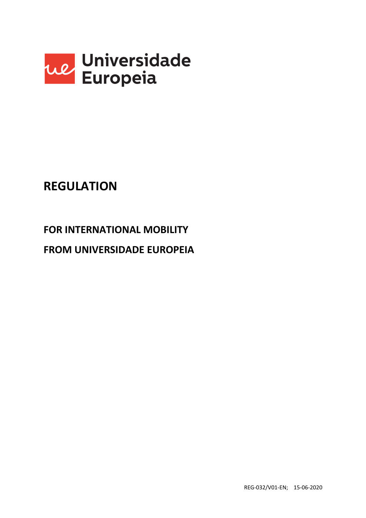

# **REGULATION**

# **FOR INTERNATIONAL MOBILITY**

# **FROM UNIVERSIDADE EUROPEIA**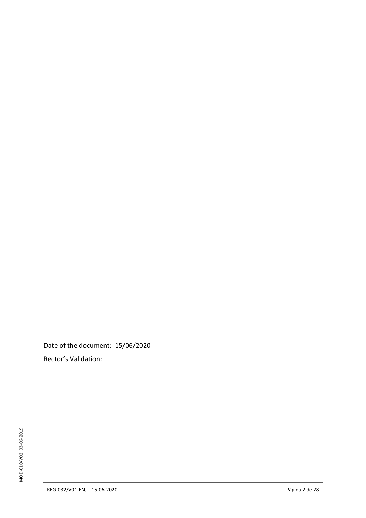Date of the document: 15/06/2020 Rector's Validation: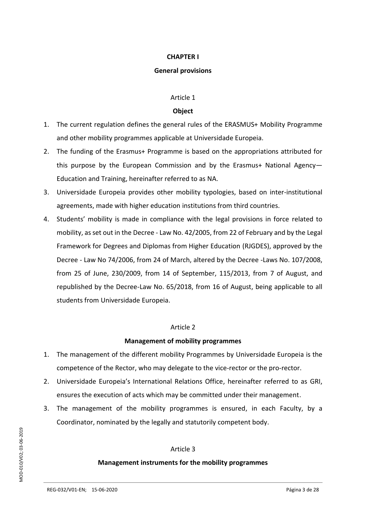## **CHAPTER I**

#### **General provisions**

## Article 1

## **Object**

- 1. The current regulation defines the general rules of the ERASMUS+ Mobility Programme and other mobility programmes applicable at Universidade Europeia.
- 2. The funding of the Erasmus+ Programme is based on the appropriations attributed for this purpose by the European Commission and by the Erasmus+ National Agency— Education and Training, hereinafter referred to as NA.
- 3. Universidade Europeia provides other mobility typologies, based on inter-institutional agreements, made with higher education institutions from third countries.
- 4. Students' mobility is made in compliance with the legal provisions in force related to mobility, as set out in the Decree - Law No. 42/2005, from 22 of February and by the Legal Framework for Degrees and Diplomas from Higher Education (RJGDES), approved by the Decree - Law No 74/2006, from 24 of March, altered by the Decree -Laws No. 107/2008, from 25 of June, 230/2009, from 14 of September, 115/2013, from 7 of August, and republished by the Decree-Law No. 65/2018, from 16 of August, being applicable to all students from Universidade Europeia.

## Article 2

## **Management of mobility programmes**

- 1. The management of the different mobility Programmes by Universidade Europeia is the competence of the Rector, who may delegate to the vice-rector or the pro-rector.
- 2. Universidade Europeia's International Relations Office, hereinafter referred to as GRI, ensures the execution of acts which may be committed under their management.
- 3. The management of the mobility programmes is ensured, in each Faculty, by a Coordinator, nominated by the legally and statutorily competent body.

## Article 3

## **Management instruments for the mobility programmes**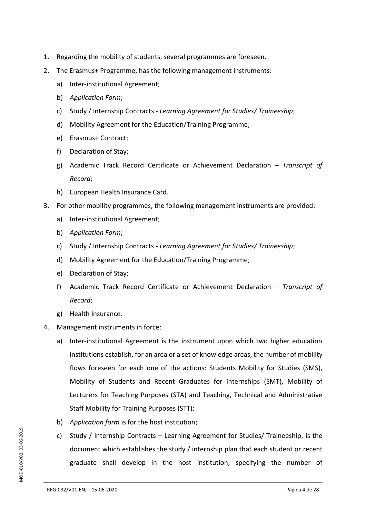- 1. Regarding the mobility of students, several programmes are foreseen.
- 2. The Erasmus+ Programme, has the following management instruments:
	- a) Inter-institutional Agreement;
	- b) *Application Form*;
	- c) Study / Internship Contracts *Learning Agreement for Studies/ Traineeship*;
	- d) Mobility Agreement for the Education/Training Programme;
	- e) Erasmus+ Contract;
	- f) Declaration of Stay;
	- g) Academic Track Record Certificate or Achievement Declaration *Transcript of Record*;
	- h) European Health Insurance Card.
- 3. For other mobility programmes, the following management instruments are provided:
	- a) Inter-institutional Agreement;
	- b) *Application Form*;
	- c) Study / Internship Contracts *Learning Agreement for Studies/ Traineeship*;
	- d) Mobility Agreement for the Education/Training Programme;
	- e) Declaration of Stay;
	- f) Academic Track Record Certificate or Achievement Declaration *Transcript of Record*;
	- g) Health Insurance.
- 4. Management instruments in force:
	- a) Inter-institutional Agreement is the instrument upon which two higher education institutions establish, for an area or a set of knowledge areas, the number of mobility flows foreseen for each one of the actions: Students Mobility for Studies (SMS), Mobility of Students and Recent Graduates for Internships (SMT), Mobility of Lecturers for Teaching Purposes (STA) and Teaching, Technical and Administrative Staff Mobility for Training Purposes (STT);
	- b) *Application form* is for the host institution;
	- c) Study / Internship Contracts Learning Agreement for Studies/ Traineeship, is the document which establishes the study / internship plan that each student or recent graduate shall develop in the host institution, specifying the number of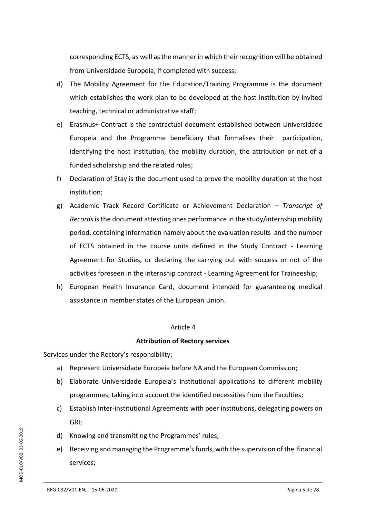corresponding ECTS, as well as the manner in which their recognition will be obtained from Universidade Europeia, if completed with success;

- d) The Mobility Agreement for the Education/Training Programme is the document which establishes the work plan to be developed at the host institution by invited teaching, technical or administrative staff;
- e) Erasmus+ Contract is the contractual document established between Universidade Europeia and the Programme beneficiary that formalises their participation, identifying the host institution, the mobility duration, the attribution or not of a funded scholarship and the related rules;
- f) Declaration of Stay is the document used to prove the mobility duration at the host institution;
- g) Academic Track Record Certificate or Achievement Declaration *Transcript of Records*isthe document attesting ones performance in the study/internship mobility period, containing information namely about the evaluation results and the number of ECTS obtained in the course units defined in the Study Contract - Learning Agreement for Studies, or declaring the carrying out with success or not of the activities foreseen in the internship contract - Learning Agreement for Traineeship;
- h) European Health Insurance Card, document intended for guaranteeing medical assistance in member states of the European Union.

#### Article 4

#### **Attribution of Rectory services**

Services under the Rectory's responsibility:

- a) Represent Universidade Europeia before NA and the European Commission;
- b) Elaborate Universidade Europeia's institutional applications to different mobility programmes, taking into account the identified necessities from the Faculties;
- c) Establish Inter-institutional Agreements with peer institutions, delegating powers on GRI;
- d) Knowing and transmitting the Programmes' rules;
- e) Receiving and managing the Programme's funds, with the supervision of the financial services;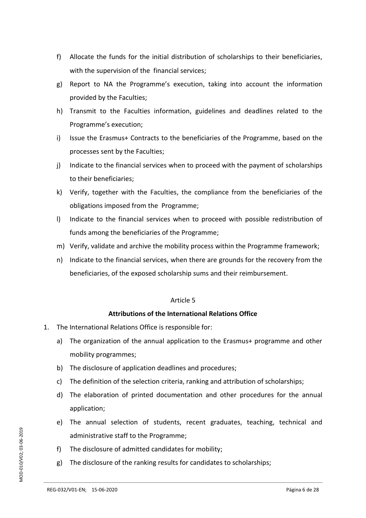- f) Allocate the funds for the initial distribution of scholarships to their beneficiaries, with the supervision of the financial services;
- g) Report to NA the Programme's execution, taking into account the information provided by the Faculties;
- h) Transmit to the Faculties information, guidelines and deadlines related to the Programme's execution;
- i) Issue the Erasmus+ Contracts to the beneficiaries of the Programme, based on the processes sent by the Faculties;
- j) Indicate to the financial services when to proceed with the payment of scholarships to their beneficiaries;
- k) Verify, together with the Faculties, the compliance from the beneficiaries of the obligations imposed from the Programme;
- l) Indicate to the financial services when to proceed with possible redistribution of funds among the beneficiaries of the Programme;
- m) Verify, validate and archive the mobility process within the Programme framework;
- n) Indicate to the financial services, when there are grounds for the recovery from the beneficiaries, of the exposed scholarship sums and their reimbursement.

## **Attributions of the International Relations Office**

- 1. The International Relations Office is responsible for:
	- a) The organization of the annual application to the Erasmus+ programme and other mobility programmes;
	- b) The disclosure of application deadlines and procedures;
	- c) The definition of the selection criteria, ranking and attribution of scholarships;
	- d) The elaboration of printed documentation and other procedures for the annual application;
	- e) The annual selection of students, recent graduates, teaching, technical and administrative staff to the Programme;
	- f) The disclosure of admitted candidates for mobility;
	- g) The disclosure of the ranking results for candidates to scholarships;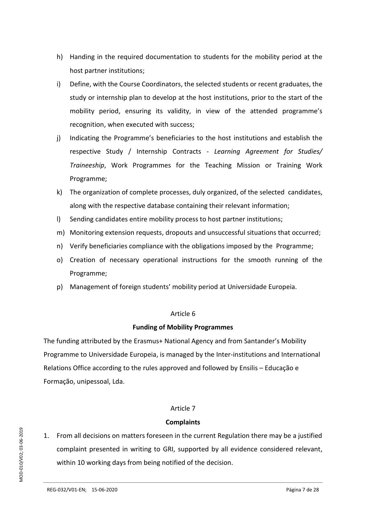- h) Handing in the required documentation to students for the mobility period at the host partner institutions;
- i) Define, with the Course Coordinators, the selected students or recent graduates, the study or internship plan to develop at the host institutions, prior to the start of the mobility period, ensuring its validity, in view of the attended programme's recognition, when executed with success;
- j) Indicating the Programme's beneficiaries to the host institutions and establish the respective Study / Internship Contracts - *Learning Agreement for Studies/ Traineeship*, Work Programmes for the Teaching Mission or Training Work Programme;
- k) The organization of complete processes, duly organized, of the selected candidates, along with the respective database containing their relevant information;
- l) Sending candidates entire mobility process to host partner institutions;
- m) Monitoring extension requests, dropouts and unsuccessful situations that occurred;
- n) Verify beneficiaries compliance with the obligations imposed by the Programme;
- o) Creation of necessary operational instructions for the smooth running of the Programme;
- p) Management of foreign students' mobility period at Universidade Europeia.

## **Funding of Mobility Programmes**

The funding attributed by the Erasmus+ National Agency and from Santander's Mobility Programme to Universidade Europeia, is managed by the Inter-institutions and International Relations Office according to the rules approved and followed by Ensilis – Educação e Formação, unipessoal, Lda.

## Article 7

## **Complaints**

1. From all decisions on matters foreseen in the current Regulation there may be a justified complaint presented in writing to GRI, supported by all evidence considered relevant, within 10 working days from being notified of the decision.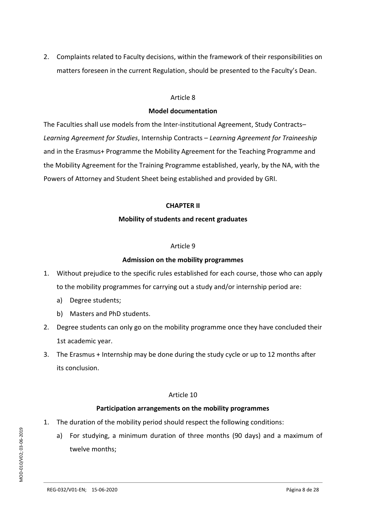2. Complaints related to Faculty decisions, within the framework of their responsibilities on matters foreseen in the current Regulation, should be presented to the Faculty's Dean.

#### Article 8

## **Model documentation**

The Faculties shall use models from the Inter-institutional Agreement, Study Contracts– *Learning Agreement for Studies*, Internship Contracts – *Learning Agreement for Traineeship* and in the Erasmus+ Programme the Mobility Agreement for the Teaching Programme and the Mobility Agreement for the Training Programme established, yearly, by the NA, with the Powers of Attorney and Student Sheet being established and provided by GRI.

## **CHAPTER II**

## **Mobility of students and recent graduates**

#### Article 9

## **Admission on the mobility programmes**

- 1. Without prejudice to the specific rules established for each course, those who can apply to the mobility programmes for carrying out a study and/or internship period are:
	- a) Degree students;
	- b) Masters and PhD students.
- 2. Degree students can only go on the mobility programme once they have concluded their 1st academic year.
- 3. The Erasmus + Internship may be done during the study cycle or up to 12 months after its conclusion.

## Article 10

## **Participation arrangements on the mobility programmes**

- 1. The duration of the mobility period should respect the following conditions:
	- a) For studying, a minimum duration of three months (90 days) and a maximum of twelve months;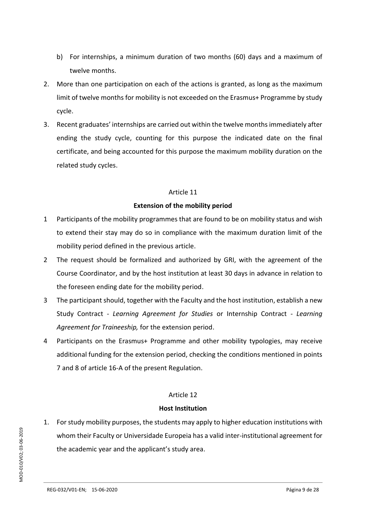- b) For internships, a minimum duration of two months (60) days and a maximum of twelve months.
- 2. More than one participation on each of the actions is granted, as long as the maximum limit of twelve months for mobility is not exceeded on the Erasmus+ Programme by study cycle.
- 3. Recent graduates' internships are carried out within the twelve months immediately after ending the study cycle, counting for this purpose the indicated date on the final certificate, and being accounted for this purpose the maximum mobility duration on the related study cycles.

## **Extension of the mobility period**

- 1 Participants of the mobility programmes that are found to be on mobility status and wish to extend their stay may do so in compliance with the maximum duration limit of the mobility period defined in the previous article.
- 2 The request should be formalized and authorized by GRI, with the agreement of the Course Coordinator, and by the host institution at least 30 days in advance in relation to the foreseen ending date for the mobility period.
- 3 The participant should, together with the Faculty and the host institution, establish a new Study Contract - *Learning Agreement for Studies* or Internship Contract - *Learning Agreement for Traineeship,* for the extension period.
- 4 Participants on the Erasmus+ Programme and other mobility typologies, may receive additional funding for the extension period, checking the conditions mentioned in points 7 and 8 of article 16-A of the present Regulation.

## Article 12

#### **Host Institution**

1. For study mobility purposes, the students may apply to higher education institutions with whom their Faculty or Universidade Europeia has a valid inter-institutional agreement for the academic year and the applicant's study area.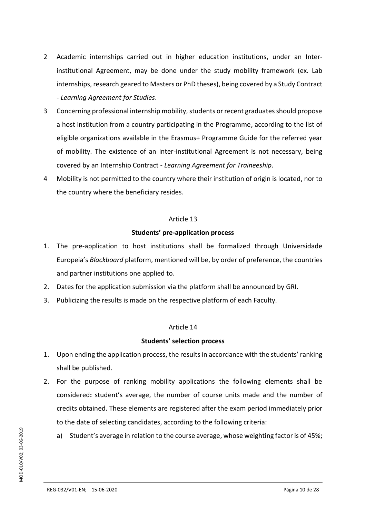- 2 Academic internships carried out in higher education institutions, under an Interinstitutional Agreement, may be done under the study mobility framework (ex. Lab internships, research geared to Masters or PhD theses), being covered by a Study Contract - *Learning Agreement for Studies*.
- 3 Concerning professional internship mobility, students or recent graduates should propose a host institution from a country participating in the Programme, according to the list of eligible organizations available in the Erasmus+ Programme Guide for the referred year of mobility. The existence of an Inter-institutional Agreement is not necessary, being covered by an Internship Contract - *Learning Agreement for Traineeship*.
- 4 Mobility is not permitted to the country where their institution of origin is located, nor to the country where the beneficiary resides.

## **Students' pre-application process**

- 1. The pre-application to host institutions shall be formalized through Universidade Europeia's *Blackboard* platform, mentioned will be, by order of preference, the countries and partner institutions one applied to.
- 2. Dates for the application submission via the platform shall be announced by GRI.
- 3. Publicizing the results is made on the respective platform of each Faculty.

## Article 14

#### **Students' selection process**

- 1. Upon ending the application process, the results in accordance with the students' ranking shall be published.
- 2. For the purpose of ranking mobility applications the following elements shall be considered**:** student's average, the number of course units made and the number of credits obtained. These elements are registered after the exam period immediately prior to the date of selecting candidates, according to the following criteria:
	- a) Student's average in relation to the course average, whose weighting factor is of 45%;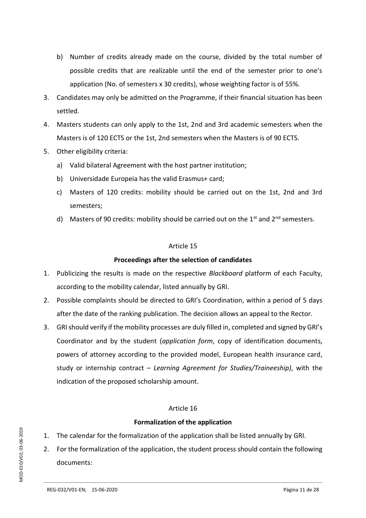- b) Number of credits already made on the course, divided by the total number of possible credits that are realizable until the end of the semester prior to one's application (No. of semesters x 30 credits), whose weighting factor is of 55%.
- 3. Candidates may only be admitted on the Programme, if their financial situation has been settled.
- 4. Masters students can only apply to the 1st, 2nd and 3rd academic semesters when the Masters is of 120 ECTS or the 1st, 2nd semesters when the Masters is of 90 ECTS.
- 5. Other eligibility criteria:
	- a) Valid bilateral Agreement with the host partner institution;
	- b) Universidade Europeia has the valid Erasmus+ card;
	- c) Masters of 120 credits: mobility should be carried out on the 1st, 2nd and 3rd semesters;
	- d) Masters of 90 credits: mobility should be carried out on the  $1<sup>st</sup>$  and  $2<sup>nd</sup>$  semesters.

## **Proceedings after the selection of candidates**

- 1. Publicizing the results is made on the respective *Blackboard* platform of each Faculty, according to the mobility calendar, listed annually by GRI.
- 2. Possible complaints should be directed to GRI's Coordination, within a period of 5 days after the date of the ranking publication. The decision allows an appeal to the Rector.
- 3. GRI should verify if the mobility processes are duly filled in, completed and signed by GRI's Coordinator and by the student (*application form*, copy of identification documents, powers of attorney according to the provided model, European health insurance card, study or internship contract – *Learning Agreement for Studies/Traineeship)*, with the indication of the proposed scholarship amount.

## Article 16

## **Formalization of the application**

- 1. The calendar for the formalization of the application shall be listed annually by GRI.
- 2. For the formalization of the application, the student process should contain the following documents: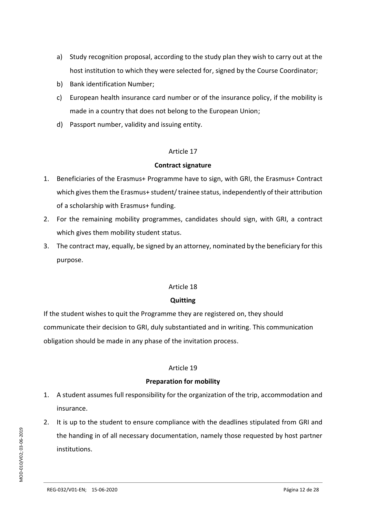- a) Study recognition proposal, according to the study plan they wish to carry out at the host institution to which they were selected for, signed by the Course Coordinator;
- b) Bank identification Number;
- c) European health insurance card number or of the insurance policy, if the mobility is made in a country that does not belong to the European Union;
- d) Passport number, validity and issuing entity.

## **Contract signature**

- 1. Beneficiaries of the Erasmus+ Programme have to sign, with GRI, the Erasmus+ Contract which gives them the Erasmus+ student/trainee status, independently of their attribution of a scholarship with Erasmus+ funding.
- 2. For the remaining mobility programmes, candidates should sign, with GRI, a contract which gives them mobility student status.
- 3. The contract may, equally, be signed by an attorney, nominated by the beneficiary for this purpose.

## Article 18

## **Quitting**

If the student wishes to quit the Programme they are registered on, they should communicate their decision to GRI, duly substantiated and in writing. This communication obligation should be made in any phase of the invitation process.

#### Article 19

#### **Preparation for mobility**

- 1. A student assumes full responsibility for the organization of the trip, accommodation and insurance.
- 2. It is up to the student to ensure compliance with the deadlines stipulated from GRI and the handing in of all necessary documentation, namely those requested by host partner institutions.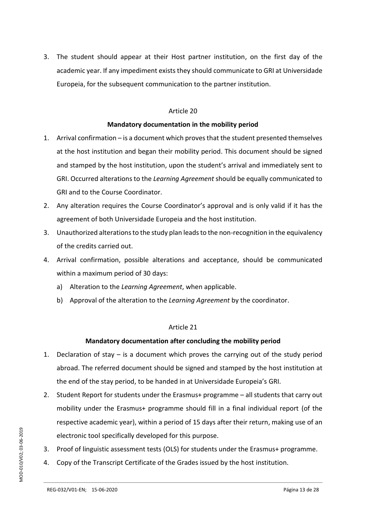3. The student should appear at their Host partner institution, on the first day of the academic year. If any impediment exists they should communicate to GRI at Universidade Europeia, for the subsequent communication to the partner institution.

#### Article 20

## **Mandatory documentation in the mobility period**

- 1. Arrival confirmation is a document which proves that the student presented themselves at the host institution and began their mobility period. This document should be signed and stamped by the host institution, upon the student's arrival and immediately sent to GRI. Occurred alterations to the *Learning Agreement* should be equally communicated to GRI and to the Course Coordinator.
- 2. Any alteration requires the Course Coordinator's approval and is only valid if it has the agreement of both Universidade Europeia and the host institution.
- 3. Unauthorized alterations to the study plan leads to the non-recognition in the equivalency of the credits carried out.
- 4. Arrival confirmation, possible alterations and acceptance, should be communicated within a maximum period of 30 days:
	- a) Alteration to the *Learning Agreement*, when applicable.
	- b) Approval of the alteration to the *Learning Agreement* by the coordinator.

## Article 21

## **Mandatory documentation after concluding the mobility period**

- 1. Declaration of stay is a document which proves the carrying out of the study period abroad. The referred document should be signed and stamped by the host institution at the end of the stay period, to be handed in at Universidade Europeia's GRI.
- 2. Student Report for students under the Erasmus+ programme all students that carry out mobility under the Erasmus+ programme should fill in a final individual report (of the respective academic year), within a period of 15 days after their return, making use of an electronic tool specifically developed for this purpose.
- 3. Proof of linguistic assessment tests (OLS) for students under the Erasmus+ programme.
- 4. Copy of the Transcript Certificate of the Grades issued by the host institution.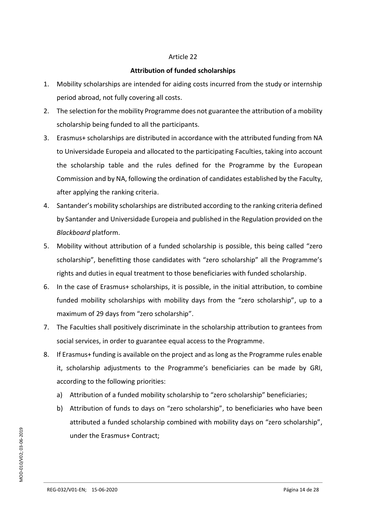## **Attribution of funded scholarships**

- 1. Mobility scholarships are intended for aiding costs incurred from the study or internship period abroad, not fully covering all costs.
- 2. The selection for the mobility Programme does not guarantee the attribution of a mobility scholarship being funded to all the participants.
- 3. Erasmus+ scholarships are distributed in accordance with the attributed funding from NA to Universidade Europeia and allocated to the participating Faculties, taking into account the scholarship table and the rules defined for the Programme by the European Commission and by NA, following the ordination of candidates established by the Faculty, after applying the ranking criteria.
- 4. Santander's mobility scholarships are distributed according to the ranking criteria defined by Santander and Universidade Europeia and published in the Regulation provided on the *Blackboard* platform.
- 5. Mobility without attribution of a funded scholarship is possible, this being called "zero scholarship", benefitting those candidates with "zero scholarship" all the Programme's rights and duties in equal treatment to those beneficiaries with funded scholarship.
- 6. In the case of Erasmus+ scholarships, it is possible, in the initial attribution, to combine funded mobility scholarships with mobility days from the "zero scholarship", up to a maximum of 29 days from "zero scholarship".
- 7. The Faculties shall positively discriminate in the scholarship attribution to grantees from social services, in order to guarantee equal access to the Programme.
- 8. If Erasmus+ funding is available on the project and as long as the Programme rules enable it, scholarship adjustments to the Programme's beneficiaries can be made by GRI, according to the following priorities:
	- a) Attribution of a funded mobility scholarship to "zero scholarship" beneficiaries;
	- b) Attribution of funds to days on "zero scholarship", to beneficiaries who have been attributed a funded scholarship combined with mobility days on "zero scholarship", under the Erasmus+ Contract;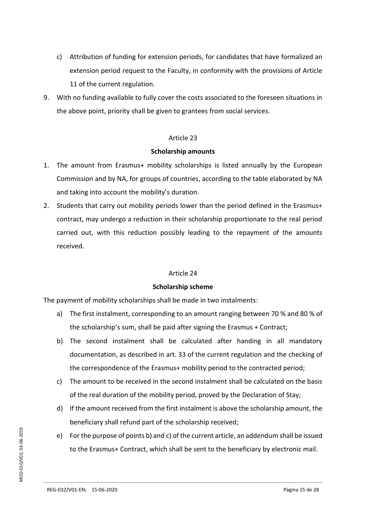- c) Attribution of funding for extension periods, for candidates that have formalized an extension period request to the Faculty, in conformity with the provisions of Article 11 of the current regulation.
- 9. With no funding available to fully cover the costs associated to the foreseen situations in the above point, priority shall be given to grantees from social services.

#### **Scholarship amounts**

- 1. The amount from Erasmus+ mobility scholarships is listed annually by the European Commission and by NA, for groups of countries, according to the table elaborated by NA and taking into account the mobility's duration.
- 2. Students that carry out mobility periods lower than the period defined in the Erasmus+ contract, may undergo a reduction in their scholarship proportionate to the real period carried out, with this reduction possibly leading to the repayment of the amounts received.

## Article 24

## **Scholarship scheme**

The payment of mobility scholarships shall be made in two instalments:

- a) The first instalment, corresponding to an amount ranging between 70 % and 80 % of the scholarship's sum, shall be paid after signing the Erasmus + Contract;
- b) The second instalment shall be calculated after handing in all mandatory documentation, as described in art. 33 of the current regulation and the checking of the correspondence of the Erasmus+ mobility period to the contracted period;
- c) The amount to be received in the second instalment shall be calculated on the basis of the real duration of the mobility period, proved by the Declaration of Stay;
- d) If the amount received from the first instalment is above the scholarship amount, the beneficiary shall refund part of the scholarship received;
- e) For the purpose of points b) and c) of the current article, an addendum shall be issued to the Erasmus+ Contract, which shall be sent to the beneficiary by electronic mail.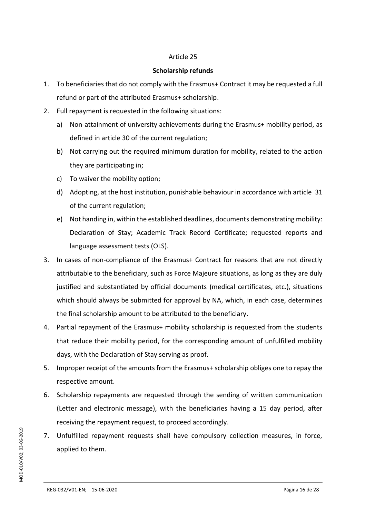#### **Scholarship refunds**

- 1. To beneficiaries that do not comply with the Erasmus+ Contract it may be requested a full refund or part of the attributed Erasmus+ scholarship.
- 2. Full repayment is requested in the following situations:
	- a) Non-attainment of university achievements during the Erasmus+ mobility period, as defined in article 30 of the current regulation;
	- b) Not carrying out the required minimum duration for mobility, related to the action they are participating in;
	- c) To waiver the mobility option;
	- d) Adopting, at the host institution, punishable behaviour in accordance with article 31 of the current regulation;
	- e) Not handing in, within the established deadlines, documents demonstrating mobility: Declaration of Stay; Academic Track Record Certificate; requested reports and language assessment tests (OLS).
- 3. In cases of non-compliance of the Erasmus+ Contract for reasons that are not directly attributable to the beneficiary, such as Force Majeure situations, as long as they are duly justified and substantiated by official documents (medical certificates, etc.), situations which should always be submitted for approval by NA, which, in each case, determines the final scholarship amount to be attributed to the beneficiary.
- 4. Partial repayment of the Erasmus+ mobility scholarship is requested from the students that reduce their mobility period, for the corresponding amount of unfulfilled mobility days, with the Declaration of Stay serving as proof.
- 5. Improper receipt of the amounts from the Erasmus+ scholarship obliges one to repay the respective amount.
- 6. Scholarship repayments are requested through the sending of written communication (Letter and electronic message), with the beneficiaries having a 15 day period, after receiving the repayment request, to proceed accordingly.
- 7. Unfulfilled repayment requests shall have compulsory collection measures, in force, applied to them.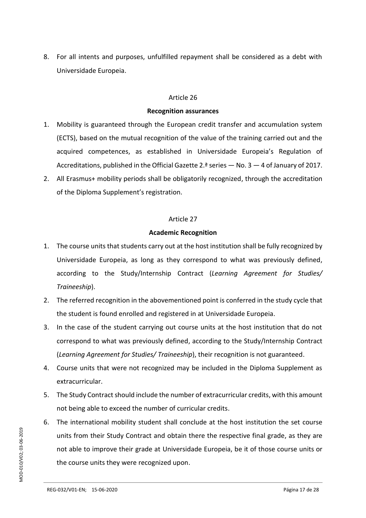8. For all intents and purposes, unfulfilled repayment shall be considered as a debt with Universidade Europeia.

#### Article 26

#### **Recognition assurances**

- 1. Mobility is guaranteed through the European credit transfer and accumulation system (ECTS), based on the mutual recognition of the value of the training carried out and the acquired competences, as established in Universidade Europeia's Regulation of Accreditations, published in the Official Gazette 2.ª series — No. 3 — 4 of January of 2017.
- 2. All Erasmus+ mobility periods shall be obligatorily recognized, through the accreditation of the Diploma Supplement's registration.

#### Article 27

#### **Academic Recognition**

- 1. The course units that students carry out at the host institution shall be fully recognized by Universidade Europeia, as long as they correspond to what was previously defined, according to the Study/Internship Contract (*Learning Agreement for Studies/ Traineeship*).
- 2. The referred recognition in the abovementioned point is conferred in the study cycle that the student is found enrolled and registered in at Universidade Europeia.
- 3. In the case of the student carrying out course units at the host institution that do not correspond to what was previously defined, according to the Study/Internship Contract (*Learning Agreement for Studies/ Traineeship*), their recognition is not guaranteed.
- 4. Course units that were not recognized may be included in the Diploma Supplement as extracurricular.
- 5. The Study Contract should include the number of extracurricular credits, with this amount not being able to exceed the number of curricular credits.
- 6. The international mobility student shall conclude at the host institution the set course units from their Study Contract and obtain there the respective final grade, as they are not able to improve their grade at Universidade Europeia, be it of those course units or the course units they were recognized upon.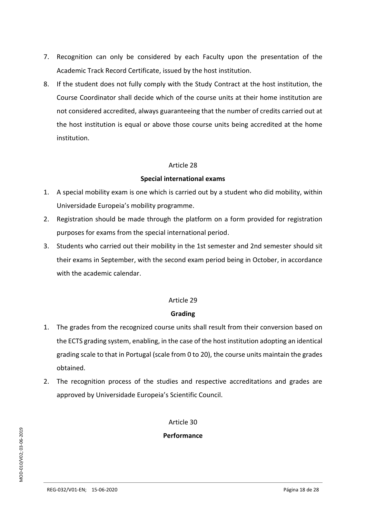- 7. Recognition can only be considered by each Faculty upon the presentation of the Academic Track Record Certificate, issued by the host institution.
- 8. If the student does not fully comply with the Study Contract at the host institution, the Course Coordinator shall decide which of the course units at their home institution are not considered accredited, always guaranteeing that the number of credits carried out at the host institution is equal or above those course units being accredited at the home institution.

#### **Special international exams**

- 1. A special mobility exam is one which is carried out by a student who did mobility, within Universidade Europeia's mobility programme.
- 2. Registration should be made through the platform on a form provided for registration purposes for exams from the special international period.
- 3. Students who carried out their mobility in the 1st semester and 2nd semester should sit their exams in September, with the second exam period being in October, in accordance with the academic calendar.

## Article 29

#### **Grading**

- 1. The grades from the recognized course units shall result from their conversion based on the ECTS grading system, enabling, in the case of the host institution adopting an identical grading scale to that in Portugal (scale from 0 to 20), the course units maintain the grades obtained.
- 2. The recognition process of the studies and respective accreditations and grades are approved by Universidade Europeia's Scientific Council.

Article 30

**Performance**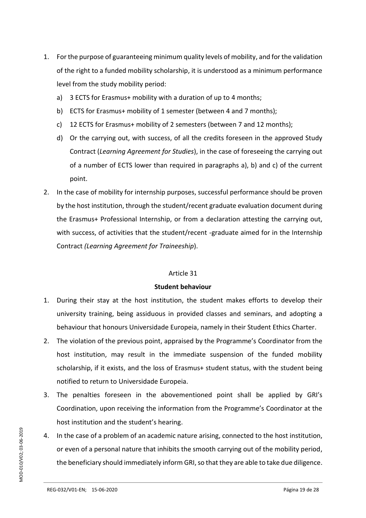- 1. For the purpose of guaranteeing minimum quality levels of mobility, and for the validation of the right to a funded mobility scholarship, it is understood as a minimum performance level from the study mobility period:
	- a) 3 ECTS for Erasmus+ mobility with a duration of up to 4 months;
	- b) ECTS for Erasmus+ mobility of 1 semester (between 4 and 7 months);
	- c) 12 ECTS for Erasmus+ mobility of 2 semesters (between 7 and 12 months);
	- d) Or the carrying out, with success, of all the credits foreseen in the approved Study Contract (*Learning Agreement for Studies*), in the case of foreseeing the carrying out of a number of ECTS lower than required in paragraphs a), b) and c) of the current point.
- 2. In the case of mobility for internship purposes, successful performance should be proven by the host institution, through the student/recent graduate evaluation document during the Erasmus+ Professional Internship, or from a declaration attesting the carrying out, with success, of activities that the student/recent -graduate aimed for in the Internship Contract *(Learning Agreement for Traineeship*).

#### **Student behaviour**

- 1. During their stay at the host institution, the student makes efforts to develop their university training, being assiduous in provided classes and seminars, and adopting a behaviour that honours Universidade Europeia, namely in their Student Ethics Charter.
- 2. The violation of the previous point, appraised by the Programme's Coordinator from the host institution, may result in the immediate suspension of the funded mobility scholarship, if it exists, and the loss of Erasmus+ student status, with the student being notified to return to Universidade Europeia.
- 3. The penalties foreseen in the abovementioned point shall be applied by GRI's Coordination, upon receiving the information from the Programme's Coordinator at the host institution and the student's hearing.
- 4. In the case of a problem of an academic nature arising, connected to the host institution, or even of a personal nature that inhibits the smooth carrying out of the mobility period, the beneficiary should immediately inform GRI, so that they are able to take due diligence.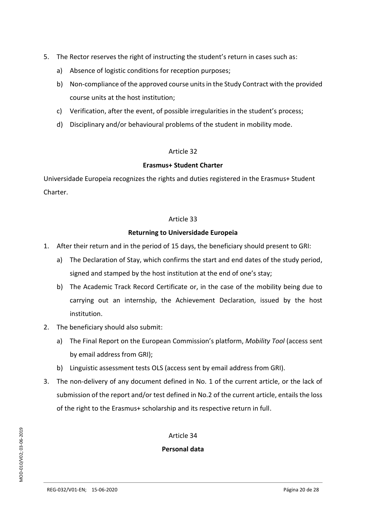- 5. The Rector reserves the right of instructing the student's return in cases such as:
	- a) Absence of logistic conditions for reception purposes;
	- b) Non-compliance of the approved course units in the Study Contract with the provided course units at the host institution;
	- c) Verification, after the event, of possible irregularities in the student's process;
	- d) Disciplinary and/or behavioural problems of the student in mobility mode.

## **Erasmus+ Student Charter**

Universidade Europeia recognizes the rights and duties registered in the Erasmus+ Student Charter.

## Article 33

## **Returning to Universidade Europeia**

- 1. After their return and in the period of 15 days, the beneficiary should present to GRI:
	- a) The Declaration of Stay, which confirms the start and end dates of the study period, signed and stamped by the host institution at the end of one's stay;
	- b) The Academic Track Record Certificate or, in the case of the mobility being due to carrying out an internship, the Achievement Declaration, issued by the host institution.
- 2. The beneficiary should also submit:
	- a) The Final Report on the European Commission's platform, *Mobility Tool* (access sent by email address from GRI);
	- b) Linguistic assessment tests OLS (access sent by email address from GRI).
- 3. The non-delivery of any document defined in No. 1 of the current article, or the lack of submission of the report and/or test defined in No.2 of the current article, entails the loss of the right to the Erasmus+ scholarship and its respective return in full.

Article 34

## **Personal data**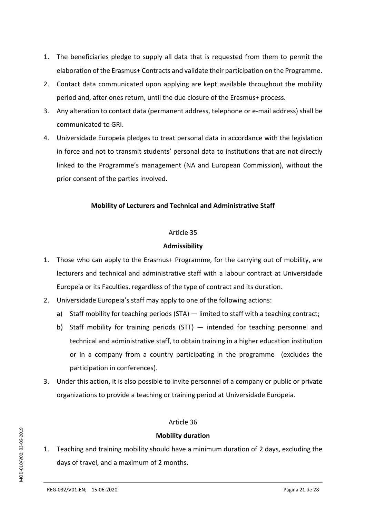- 1. The beneficiaries pledge to supply all data that is requested from them to permit the elaboration of the Erasmus+ Contracts and validate their participation on the Programme.
- 2. Contact data communicated upon applying are kept available throughout the mobility period and, after ones return, until the due closure of the Erasmus+ process.
- 3. Any alteration to contact data (permanent address, telephone or e-mail address) shall be communicated to GRI.
- 4. Universidade Europeia pledges to treat personal data in accordance with the legislation in force and not to transmit students' personal data to institutions that are not directly linked to the Programme's management (NA and European Commission), without the prior consent of the parties involved.

## **Mobility of Lecturers and Technical and Administrative Staff**

## Article 35

## **Admissibility**

- 1. Those who can apply to the Erasmus+ Programme, for the carrying out of mobility, are lecturers and technical and administrative staff with a labour contract at Universidade Europeia or its Faculties, regardless of the type of contract and its duration.
- 2. Universidade Europeia's staff may apply to one of the following actions:
	- a) Staff mobility for teaching periods (STA) limited to staff with a teaching contract;
	- b) Staff mobility for training periods (STT) intended for teaching personnel and technical and administrative staff, to obtain training in a higher education institution or in a company from a country participating in the programme (excludes the participation in conferences).
- 3. Under this action, it is also possible to invite personnel of a company or public or private organizations to provide a teaching or training period at Universidade Europeia.

## Article 36

## **Mobility duration**

1. Teaching and training mobility should have a minimum duration of 2 days, excluding the days of travel, and a maximum of 2 months.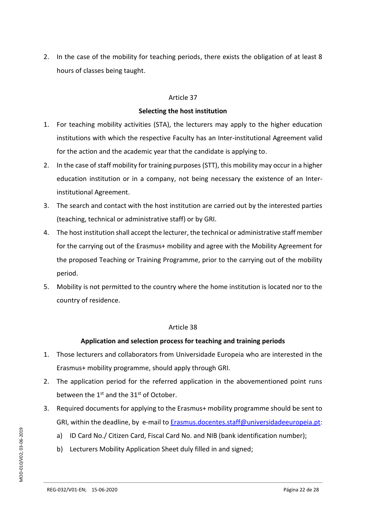2. In the case of the mobility for teaching periods, there exists the obligation of at least 8 hours of classes being taught.

#### Article 37

## **Selecting the host institution**

- 1. For teaching mobility activities (STA), the lecturers may apply to the higher education institutions with which the respective Faculty has an Inter-institutional Agreement valid for the action and the academic year that the candidate is applying to.
- 2. In the case of staff mobility for training purposes (STT), this mobility may occur in a higher education institution or in a company, not being necessary the existence of an Interinstitutional Agreement.
- 3. The search and contact with the host institution are carried out by the interested parties (teaching, technical or administrative staff) or by GRI.
- 4. The host institution shall accept the lecturer, the technical or administrative staff member for the carrying out of the Erasmus+ mobility and agree with the Mobility Agreement for the proposed Teaching or Training Programme, prior to the carrying out of the mobility period.
- 5. Mobility is not permitted to the country where the home institution is located nor to the country of residence.

## Article 38

## **Application and selection process for teaching and training periods**

- 1. Those lecturers and collaborators from Universidade Europeia who are interested in the Erasmus+ mobility programme, should apply through GRI.
- 2. The application period for the referred application in the abovementioned point runs between the 1<sup>st</sup> and the 31<sup>st</sup> of October.
- 3. Required documents for applying to the Erasmus+ mobility programme should be sent to GRI, within the deadline, by e-mail to **Erasmus.docentes.staff@universidadeeuropeia.pt**:
	- a) ID Card No./ Citizen Card, Fiscal Card No. and NIB (bank identification number);
	- b) Lecturers Mobility Application Sheet duly filled in and signed;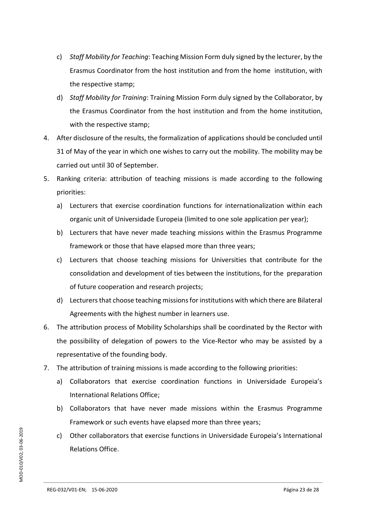- c) *Staff Mobility for Teaching*: Teaching Mission Form duly signed by the lecturer, by the Erasmus Coordinator from the host institution and from the home institution, with the respective stamp;
- d) *Staff Mobility for Training*: Training Mission Form duly signed by the Collaborator, by the Erasmus Coordinator from the host institution and from the home institution, with the respective stamp;
- 4. After disclosure of the results, the formalization of applications should be concluded until 31 of May of the year in which one wishes to carry out the mobility. The mobility may be carried out until 30 of September.
- 5. Ranking criteria: attribution of teaching missions is made according to the following priorities:
	- a) Lecturers that exercise coordination functions for internationalization within each organic unit of Universidade Europeia (limited to one sole application per year);
	- b) Lecturers that have never made teaching missions within the Erasmus Programme framework or those that have elapsed more than three years;
	- c) Lecturers that choose teaching missions for Universities that contribute for the consolidation and development of ties between the institutions, for the preparation of future cooperation and research projects;
	- d) Lecturers that choose teaching missions for institutions with which there are Bilateral Agreements with the highest number in learners use.
- 6. The attribution process of Mobility Scholarships shall be coordinated by the Rector with the possibility of delegation of powers to the Vice-Rector who may be assisted by a representative of the founding body.
- 7. The attribution of training missions is made according to the following priorities:
	- a) Collaborators that exercise coordination functions in Universidade Europeia's International Relations Office;
	- b) Collaborators that have never made missions within the Erasmus Programme Framework or such events have elapsed more than three years;
	- c) Other collaborators that exercise functions in Universidade Europeia's International Relations Office.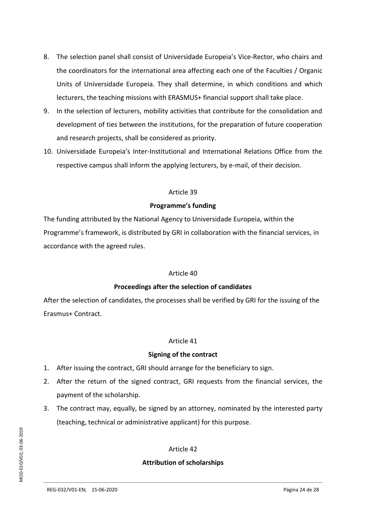- 8. The selection panel shall consist of Universidade Europeia's Vice-Rector, who chairs and the coordinators for the international area affecting each one of the Faculties / Organic Units of Universidade Europeia. They shall determine, in which conditions and which lecturers, the teaching missions with ERASMUS+ financial support shall take place.
- 9. In the selection of lecturers, mobility activities that contribute for the consolidation and development of ties between the institutions, for the preparation of future cooperation and research projects, shall be considered as priority.
- 10. Universidade Europeia's Inter-Institutional and International Relations Office from the respective campus shall inform the applying lecturers, by e-mail, of their decision.

## **Programme's funding**

The funding attributed by the National Agency to Universidade Europeia, within the Programme's framework, is distributed by GRI in collaboration with the financial services, in accordance with the agreed rules.

## Article 40

## **Proceedings after the selection of candidates**

After the selection of candidates, the processes shall be verified by GRI for the issuing of the Erasmus+ Contract.

## Article 41

## **Signing of the contract**

- 1. After issuing the contract, GRI should arrange for the beneficiary to sign.
- 2. After the return of the signed contract, GRI requests from the financial services, the payment of the scholarship.
- 3. The contract may, equally, be signed by an attorney, nominated by the interested party (teaching, technical or administrative applicant) for this purpose.

## Article 42

## **Attribution of scholarships**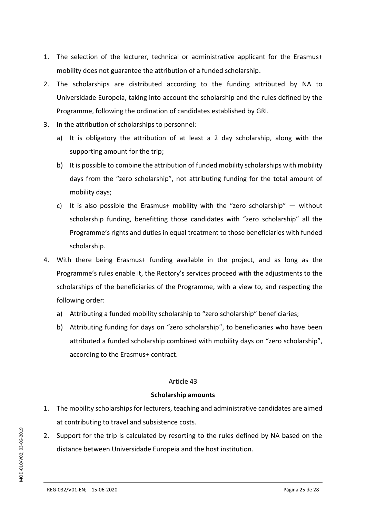- 1. The selection of the lecturer, technical or administrative applicant for the Erasmus+ mobility does not guarantee the attribution of a funded scholarship.
- 2. The scholarships are distributed according to the funding attributed by NA to Universidade Europeia, taking into account the scholarship and the rules defined by the Programme, following the ordination of candidates established by GRI.
- 3. In the attribution of scholarships to personnel:
	- a) It is obligatory the attribution of at least a 2 day scholarship, along with the supporting amount for the trip;
	- b) It is possible to combine the attribution of funded mobility scholarships with mobility days from the "zero scholarship", not attributing funding for the total amount of mobility days;
	- c) It is also possible the Erasmus+ mobility with the "zero scholarship"  $-$  without scholarship funding, benefitting those candidates with "zero scholarship" all the Programme's rights and duties in equal treatment to those beneficiaries with funded scholarship.
- 4. With there being Erasmus+ funding available in the project, and as long as the Programme's rules enable it, the Rectory's services proceed with the adjustments to the scholarships of the beneficiaries of the Programme, with a view to, and respecting the following order:
	- a) Attributing a funded mobility scholarship to "zero scholarship" beneficiaries;
	- b) Attributing funding for days on "zero scholarship", to beneficiaries who have been attributed a funded scholarship combined with mobility days on "zero scholarship", according to the Erasmus+ contract.

## **Scholarship amounts**

- 1. The mobility scholarships for lecturers, teaching and administrative candidates are aimed at contributing to travel and subsistence costs.
- 2. Support for the trip is calculated by resorting to the rules defined by NA based on the distance between Universidade Europeia and the host institution.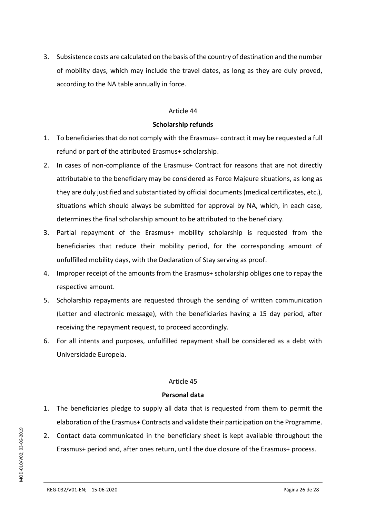3. Subsistence costs are calculated on the basis of the country of destination and the number of mobility days, which may include the travel dates, as long as they are duly proved, according to the NA table annually in force.

#### Article 44

#### **Scholarship refunds**

- 1. To beneficiaries that do not comply with the Erasmus+ contract it may be requested a full refund or part of the attributed Erasmus+ scholarship.
- 2. In cases of non-compliance of the Erasmus+ Contract for reasons that are not directly attributable to the beneficiary may be considered as Force Majeure situations, as long as they are duly justified and substantiated by official documents (medical certificates, etc.), situations which should always be submitted for approval by NA, which, in each case, determines the final scholarship amount to be attributed to the beneficiary.
- 3. Partial repayment of the Erasmus+ mobility scholarship is requested from the beneficiaries that reduce their mobility period, for the corresponding amount of unfulfilled mobility days, with the Declaration of Stay serving as proof.
- 4. Improper receipt of the amounts from the Erasmus+ scholarship obliges one to repay the respective amount.
- 5. Scholarship repayments are requested through the sending of written communication (Letter and electronic message), with the beneficiaries having a 15 day period, after receiving the repayment request, to proceed accordingly.
- 6. For all intents and purposes, unfulfilled repayment shall be considered as a debt with Universidade Europeia.

## Article 45

#### **Personal data**

- 1. The beneficiaries pledge to supply all data that is requested from them to permit the elaboration of the Erasmus+ Contracts and validate their participation on the Programme.
- 2. Contact data communicated in the beneficiary sheet is kept available throughout the Erasmus+ period and, after ones return, until the due closure of the Erasmus+ process.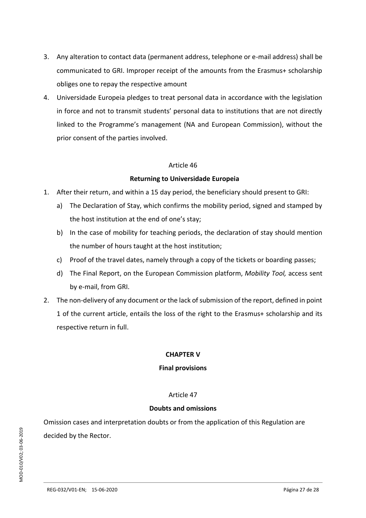- 3. Any alteration to contact data (permanent address, telephone or e-mail address) shall be communicated to GRI. Improper receipt of the amounts from the Erasmus+ scholarship obliges one to repay the respective amount
- 4. Universidade Europeia pledges to treat personal data in accordance with the legislation in force and not to transmit students' personal data to institutions that are not directly linked to the Programme's management (NA and European Commission), without the prior consent of the parties involved.

## **Returning to Universidade Europeia**

- 1. After their return, and within a 15 day period, the beneficiary should present to GRI:
	- a) The Declaration of Stay, which confirms the mobility period, signed and stamped by the host institution at the end of one's stay;
	- b) In the case of mobility for teaching periods, the declaration of stay should mention the number of hours taught at the host institution;
	- c) Proof of the travel dates, namely through a copy of the tickets or boarding passes;
	- d) The Final Report, on the European Commission platform, *Mobility Tool,* access sent by e-mail, from GRI.
- 2. The non-delivery of any document or the lack of submission of the report, defined in point 1 of the current article, entails the loss of the right to the Erasmus+ scholarship and its respective return in full.

## **CHAPTER V**

## **Final provisions**

## Article 47

#### **Doubts and omissions**

Omission cases and interpretation doubts or from the application of this Regulation are decided by the Rector.